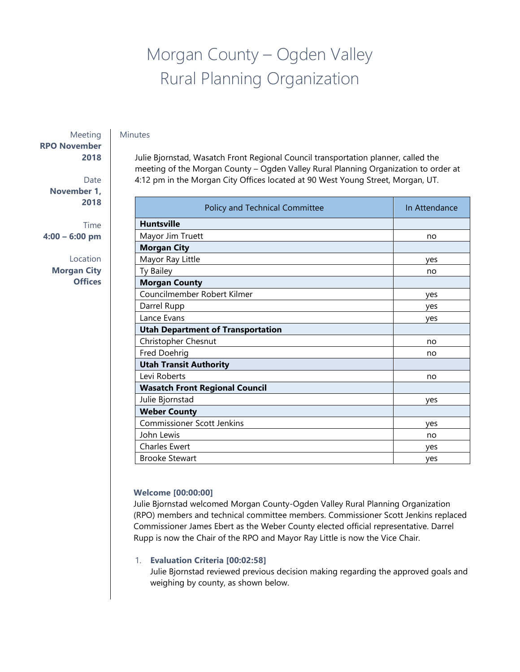# Morgan County – Ogden Valley Rural Planning Organization

### Minutes

Meeting **RPO November 2018**

> Date **November 1, 2018**

Time **4:00 – 6:00 pm**

> Location **Morgan City Offices**

Julie Bjornstad, Wasatch Front Regional Council transportation planner, called the meeting of the Morgan County – Ogden Valley Rural Planning Organization to order at 4:12 pm in the Morgan City Offices located at 90 West Young Street, Morgan, UT.

| Policy and Technical Committee           | In Attendance |
|------------------------------------------|---------------|
| <b>Huntsville</b>                        |               |
| Mayor Jim Truett                         | no            |
| <b>Morgan City</b>                       |               |
| Mayor Ray Little                         | yes           |
| Ty Bailey                                | no            |
| <b>Morgan County</b>                     |               |
| Councilmember Robert Kilmer              | yes           |
| Darrel Rupp                              | yes           |
| Lance Evans                              | yes           |
| <b>Utah Department of Transportation</b> |               |
| Christopher Chesnut                      | no            |
| Fred Doehrig                             | no            |
| <b>Utah Transit Authority</b>            |               |
| Levi Roberts                             | no            |
| <b>Wasatch Front Regional Council</b>    |               |
| Julie Bjornstad                          | yes           |
| <b>Weber County</b>                      |               |
| <b>Commissioner Scott Jenkins</b>        | yes           |
| John Lewis                               | no            |
| <b>Charles Ewert</b>                     | yes           |
| <b>Brooke Stewart</b>                    | yes           |

## **Welcome [00:00:00]**

Julie Bjornstad welcomed Morgan County-Ogden Valley Rural Planning Organization (RPO) members and technical committee members. Commissioner Scott Jenkins replaced Commissioner James Ebert as the Weber County elected official representative. Darrel Rupp is now the Chair of the RPO and Mayor Ray Little is now the Vice Chair.

## 1. **Evaluation Criteria [00:02:58]**

Julie Bjornstad reviewed previous decision making regarding the approved goals and weighing by county, as shown below.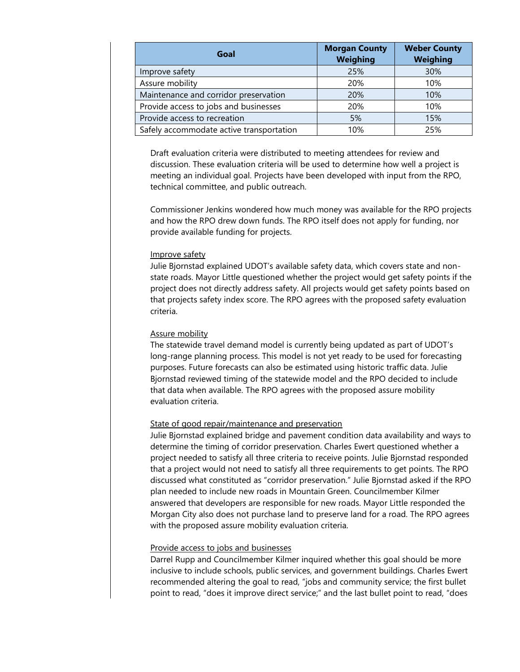| Goal                                     | <b>Morgan County</b><br><b>Weighing</b> | <b>Weber County</b><br><b>Weighing</b> |
|------------------------------------------|-----------------------------------------|----------------------------------------|
| Improve safety                           | 25%                                     | 30%                                    |
| Assure mobility                          | 20%                                     | 10%                                    |
| Maintenance and corridor preservation    | 20%                                     | 10%                                    |
| Provide access to jobs and businesses    | 20%                                     | 10%                                    |
| Provide access to recreation             | 5%                                      | 15%                                    |
| Safely accommodate active transportation | 10%                                     | 25%                                    |

Draft evaluation criteria were distributed to meeting attendees for review and discussion. These evaluation criteria will be used to determine how well a project is meeting an individual goal. Projects have been developed with input from the RPO, technical committee, and public outreach.

Commissioner Jenkins wondered how much money was available for the RPO projects and how the RPO drew down funds. The RPO itself does not apply for funding, nor provide available funding for projects.

### Improve safety

Julie Bjornstad explained UDOT's available safety data, which covers state and nonstate roads. Mayor Little questioned whether the project would get safety points if the project does not directly address safety. All projects would get safety points based on that projects safety index score. The RPO agrees with the proposed safety evaluation criteria.

#### Assure mobility

The statewide travel demand model is currently being updated as part of UDOT's long-range planning process. This model is not yet ready to be used for forecasting purposes. Future forecasts can also be estimated using historic traffic data. Julie Bjornstad reviewed timing of the statewide model and the RPO decided to include that data when available. The RPO agrees with the proposed assure mobility evaluation criteria.

## State of good repair/maintenance and preservation

Julie Bjornstad explained bridge and pavement condition data availability and ways to determine the timing of corridor preservation. Charles Ewert questioned whether a project needed to satisfy all three criteria to receive points. Julie Bjornstad responded that a project would not need to satisfy all three requirements to get points. The RPO discussed what constituted as "corridor preservation." Julie Bjornstad asked if the RPO plan needed to include new roads in Mountain Green. Councilmember Kilmer answered that developers are responsible for new roads. Mayor Little responded the Morgan City also does not purchase land to preserve land for a road. The RPO agrees with the proposed assure mobility evaluation criteria.

## Provide access to jobs and businesses

Darrel Rupp and Councilmember Kilmer inquired whether this goal should be more inclusive to include schools, public services, and government buildings. Charles Ewert recommended altering the goal to read, "jobs and community service; the first bullet point to read, "does it improve direct service;" and the last bullet point to read, "does